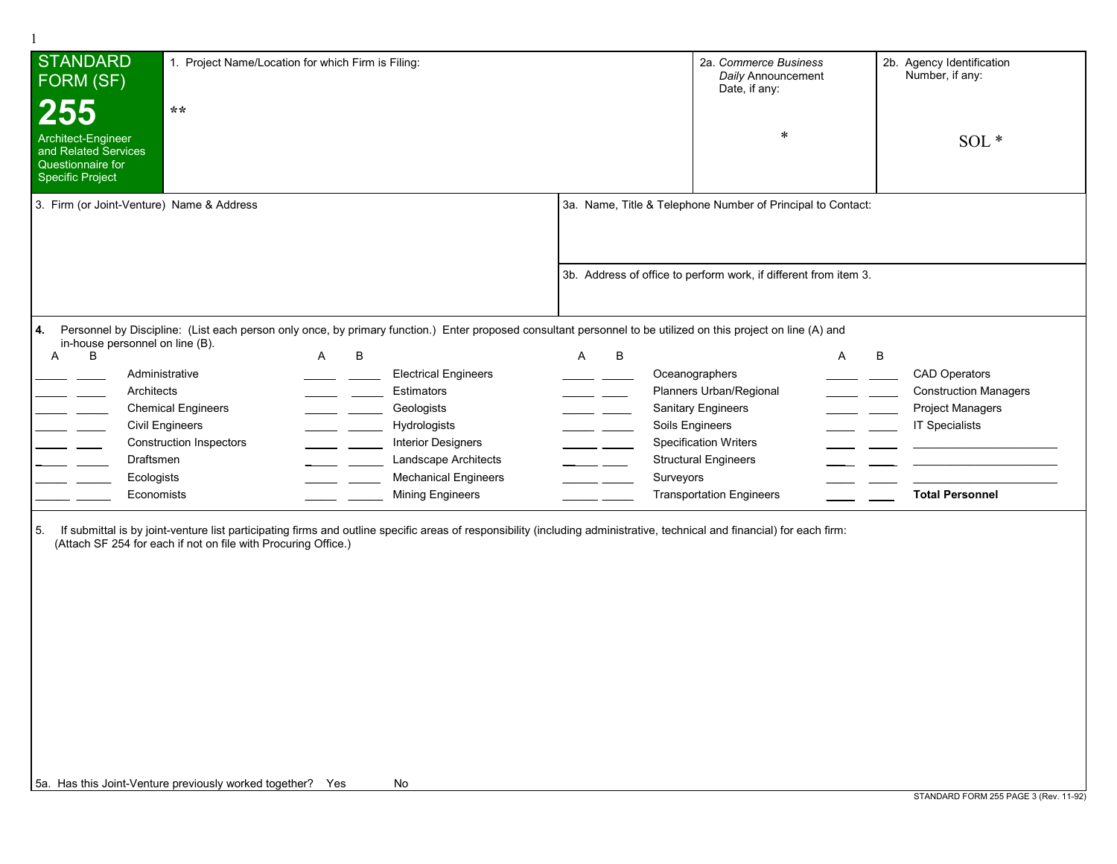| <b>STANDARD</b><br>FORM (SF)                                                                                                                             | 1. Project Name/Location for which Firm is Filing:                                                                            |                                                                                                                          |                                                                                                                                                                                                                                                                                                                                                                                                                                                                                                                                       | 2a. Commerce Business<br>Daily Announcement<br>Date, if any: |                                                                                        | 2b. Agency Identification<br>Number, if any:                                                                                                                                                             |                                                        |                                                                                                                                         |
|----------------------------------------------------------------------------------------------------------------------------------------------------------|-------------------------------------------------------------------------------------------------------------------------------|--------------------------------------------------------------------------------------------------------------------------|---------------------------------------------------------------------------------------------------------------------------------------------------------------------------------------------------------------------------------------------------------------------------------------------------------------------------------------------------------------------------------------------------------------------------------------------------------------------------------------------------------------------------------------|--------------------------------------------------------------|----------------------------------------------------------------------------------------|----------------------------------------------------------------------------------------------------------------------------------------------------------------------------------------------------------|--------------------------------------------------------|-----------------------------------------------------------------------------------------------------------------------------------------|
| 255<br>Architect-Engineer<br>and Related Services<br>Questionnaire for<br><b>Specific Project</b>                                                        | $**$                                                                                                                          |                                                                                                                          |                                                                                                                                                                                                                                                                                                                                                                                                                                                                                                                                       |                                                              |                                                                                        | ∗                                                                                                                                                                                                        |                                                        | $SOL*$                                                                                                                                  |
| 3. Firm (or Joint-Venture) Name & Address                                                                                                                |                                                                                                                               |                                                                                                                          |                                                                                                                                                                                                                                                                                                                                                                                                                                                                                                                                       |                                                              |                                                                                        | 3a. Name, Title & Telephone Number of Principal to Contact:                                                                                                                                              |                                                        |                                                                                                                                         |
|                                                                                                                                                          |                                                                                                                               |                                                                                                                          |                                                                                                                                                                                                                                                                                                                                                                                                                                                                                                                                       |                                                              |                                                                                        | 3b. Address of office to perform work, if different from item 3.                                                                                                                                         |                                                        |                                                                                                                                         |
| 4.<br>in-house personnel on line (B).<br>B<br>A<br>Administrative<br>Architects<br><b>Civil Engineers</b><br>Draftsmen<br>Ecologists<br>Economists<br>5. | <b>Chemical Engineers</b><br><b>Construction Inspectors</b><br>(Attach SF 254 for each if not on file with Procuring Office.) | В<br>A<br>$\overline{\phantom{a}}$ and $\overline{\phantom{a}}$<br>$\overline{\phantom{a}}$ and $\overline{\phantom{a}}$ | Personnel by Discipline: (List each person only once, by primary function.) Enter proposed consultant personnel to be utilized on this project on line (A) and<br><b>Electrical Engineers</b><br>Estimators<br>Geologists<br>Hydrologists<br><b>Interior Designers</b><br>Landscape Architects<br><b>Mechanical Engineers</b><br><b>Mining Engineers</b><br>If submittal is by joint-venture list participating firms and outline specific areas of responsibility (including administrative, technical and financial) for each firm: | A<br>$\overline{\phantom{a}}$ and $\overline{\phantom{a}}$   | B<br>$\overline{\phantom{a}}$<br>$\overline{\phantom{a}}$ and $\overline{\phantom{a}}$ | Oceanographers<br>Planners Urban/Regional<br><b>Sanitary Engineers</b><br>Soils Engineers<br><b>Specification Writers</b><br><b>Structural Engineers</b><br>Surveyors<br><b>Transportation Engineers</b> | A<br><u>and</u> and the<br>$\mathcal{L} = \mathcal{L}$ | B<br><b>CAD Operators</b><br><b>Construction Managers</b><br><b>Project Managers</b><br><b>IT Specialists</b><br><b>Total Personnel</b> |
|                                                                                                                                                          |                                                                                                                               |                                                                                                                          |                                                                                                                                                                                                                                                                                                                                                                                                                                                                                                                                       |                                                              |                                                                                        |                                                                                                                                                                                                          |                                                        |                                                                                                                                         |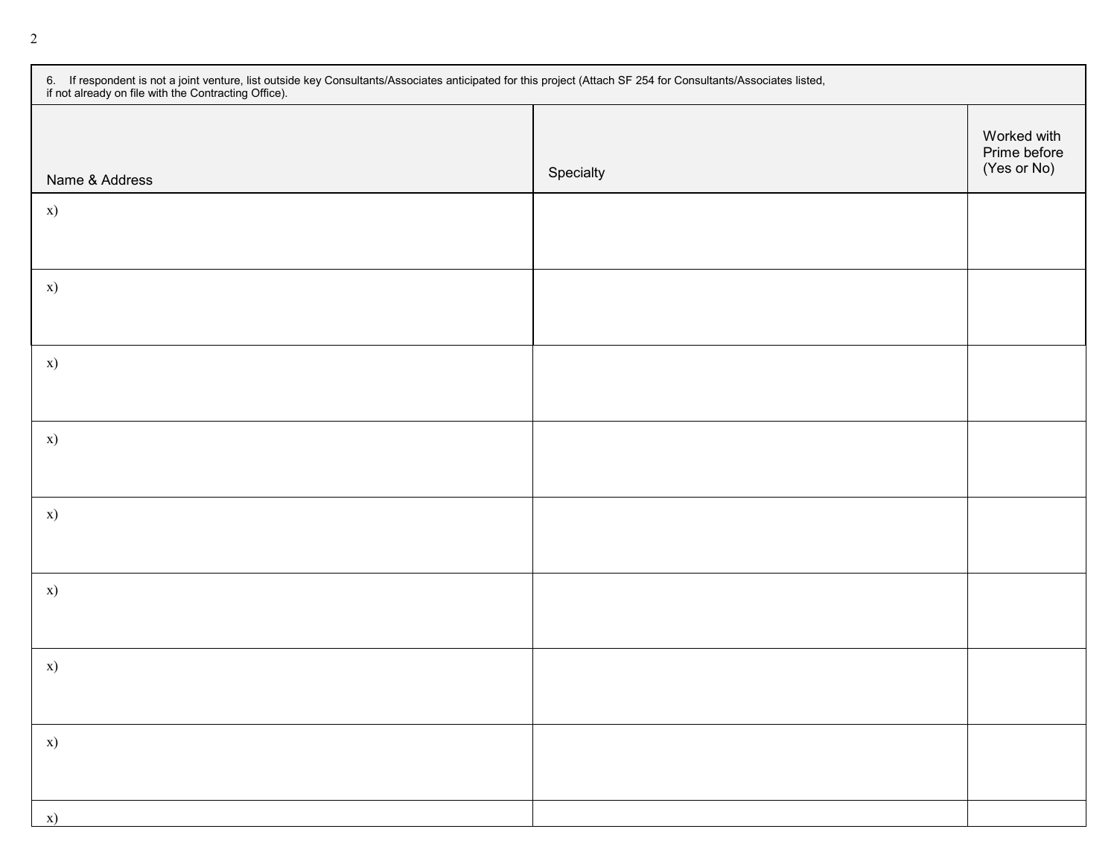| 6. If respondent is not a joint venture, list outside key Consultants/Associates anticipated for this project (Attach SF 254 for Consultants/Associates listed, if not already on file with the Contracting Office). |           |                                            |  |  |  |
|----------------------------------------------------------------------------------------------------------------------------------------------------------------------------------------------------------------------|-----------|--------------------------------------------|--|--|--|
| Name & Address                                                                                                                                                                                                       | Specialty | Worked with<br>Prime before<br>(Yes or No) |  |  |  |
| x)                                                                                                                                                                                                                   |           |                                            |  |  |  |
| X)                                                                                                                                                                                                                   |           |                                            |  |  |  |
| x)                                                                                                                                                                                                                   |           |                                            |  |  |  |
| X)                                                                                                                                                                                                                   |           |                                            |  |  |  |
| x)                                                                                                                                                                                                                   |           |                                            |  |  |  |
| X)                                                                                                                                                                                                                   |           |                                            |  |  |  |
| X)                                                                                                                                                                                                                   |           |                                            |  |  |  |
| x)                                                                                                                                                                                                                   |           |                                            |  |  |  |
| x)                                                                                                                                                                                                                   |           |                                            |  |  |  |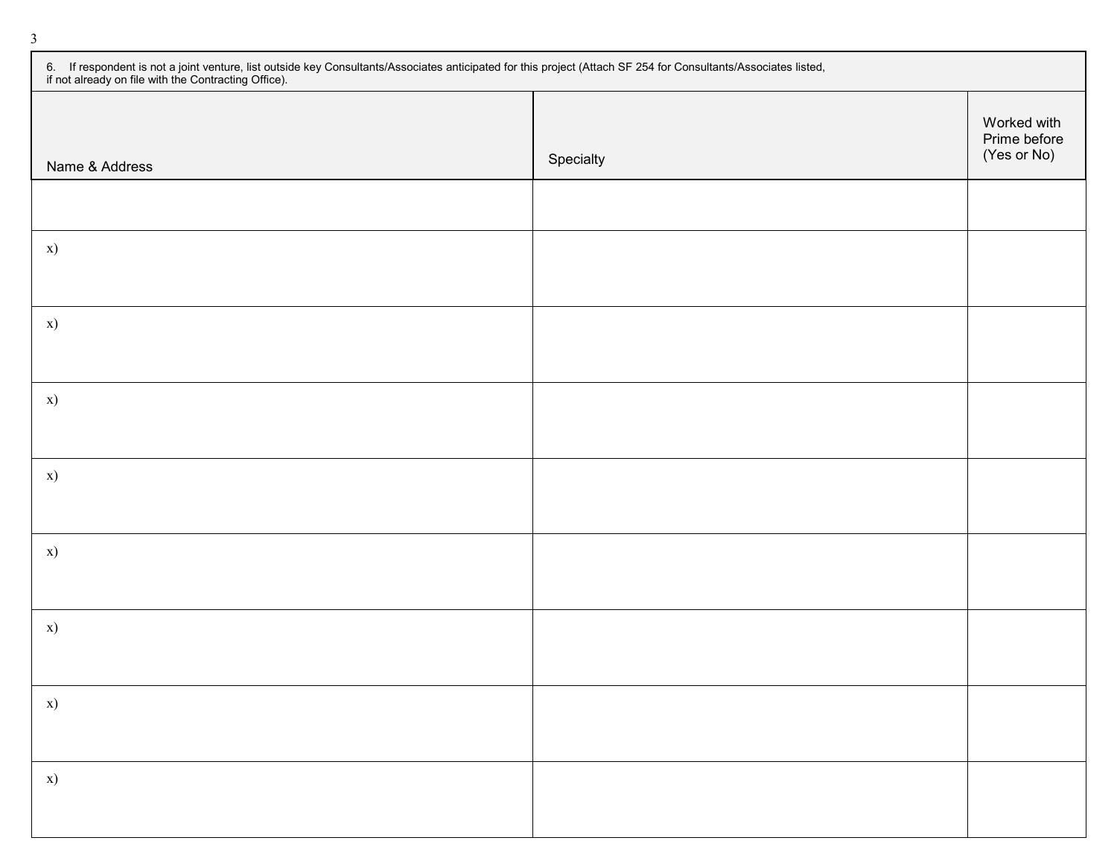| 6. If respondent is not a joint venture, list outside key Consultants/Associates anticipated for this project (Attach SF 254 for Consultants/Associates listed, if not already on file with the Contracting Office). |           |                                            |  |  |  |
|----------------------------------------------------------------------------------------------------------------------------------------------------------------------------------------------------------------------|-----------|--------------------------------------------|--|--|--|
| Name & Address                                                                                                                                                                                                       | Specialty | Worked with<br>Prime before<br>(Yes or No) |  |  |  |
|                                                                                                                                                                                                                      |           |                                            |  |  |  |
| x)                                                                                                                                                                                                                   |           |                                            |  |  |  |
| x)                                                                                                                                                                                                                   |           |                                            |  |  |  |
| x)                                                                                                                                                                                                                   |           |                                            |  |  |  |
| x)                                                                                                                                                                                                                   |           |                                            |  |  |  |
| x)                                                                                                                                                                                                                   |           |                                            |  |  |  |
| x)                                                                                                                                                                                                                   |           |                                            |  |  |  |
| x)                                                                                                                                                                                                                   |           |                                            |  |  |  |
| x)                                                                                                                                                                                                                   |           |                                            |  |  |  |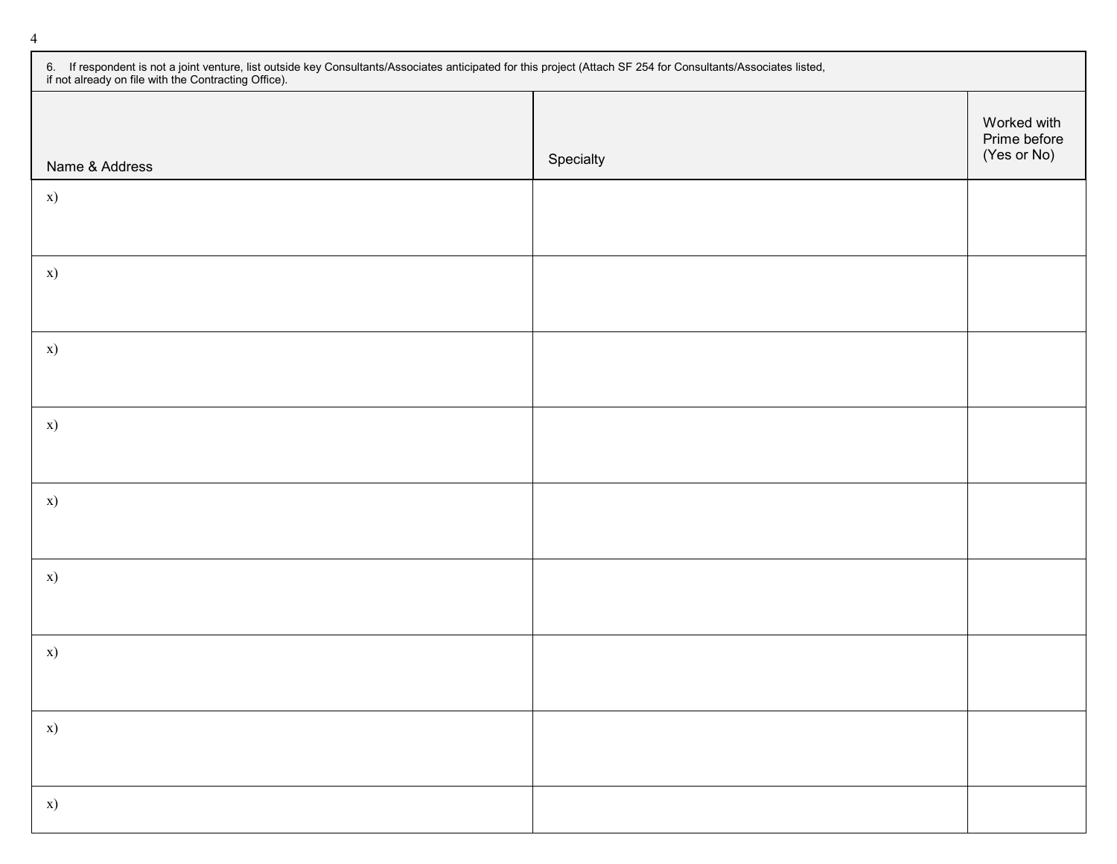| 6. If respondent is not a joint venture, list outside key Consultants/Associates anticipated for this project (Attach SF 254 for Consultants/Associates listed, if not already on file with the Contracting Office). |           |                                            |  |  |  |
|----------------------------------------------------------------------------------------------------------------------------------------------------------------------------------------------------------------------|-----------|--------------------------------------------|--|--|--|
| Name & Address                                                                                                                                                                                                       | Specialty | Worked with<br>Prime before<br>(Yes or No) |  |  |  |
| x)                                                                                                                                                                                                                   |           |                                            |  |  |  |
| x)                                                                                                                                                                                                                   |           |                                            |  |  |  |
| x)                                                                                                                                                                                                                   |           |                                            |  |  |  |
| x)                                                                                                                                                                                                                   |           |                                            |  |  |  |
| x)                                                                                                                                                                                                                   |           |                                            |  |  |  |
| x)                                                                                                                                                                                                                   |           |                                            |  |  |  |
| x)                                                                                                                                                                                                                   |           |                                            |  |  |  |
| x)                                                                                                                                                                                                                   |           |                                            |  |  |  |
| x)                                                                                                                                                                                                                   |           |                                            |  |  |  |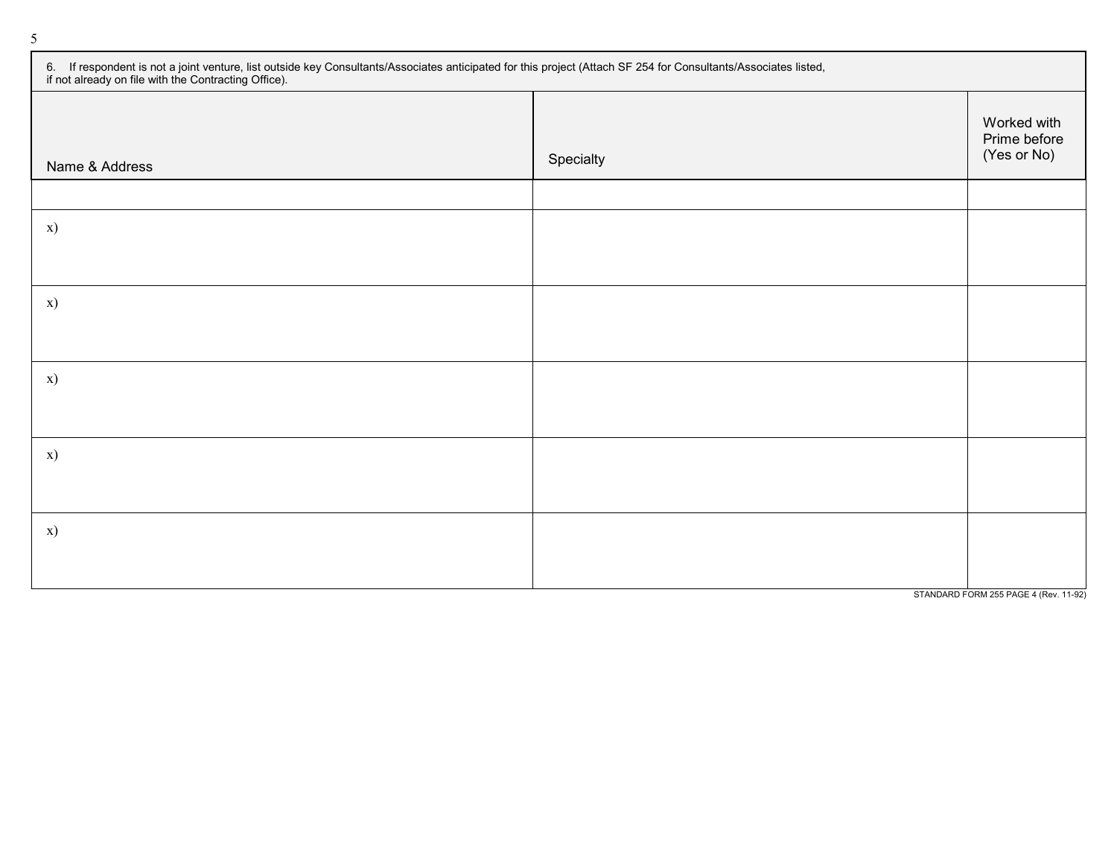| 6. If respondent is not a joint venture, list outside key Consultants/Associates anticipated for this project (Attach SF 254 for Consultants/Associates listed, if not already on file with the Contracting Office). |           |                                            |  |  |  |
|----------------------------------------------------------------------------------------------------------------------------------------------------------------------------------------------------------------------|-----------|--------------------------------------------|--|--|--|
| Name & Address                                                                                                                                                                                                       | Specialty | Worked with<br>Prime before<br>(Yes or No) |  |  |  |
|                                                                                                                                                                                                                      |           |                                            |  |  |  |
| x)                                                                                                                                                                                                                   |           |                                            |  |  |  |
|                                                                                                                                                                                                                      |           |                                            |  |  |  |
| x)                                                                                                                                                                                                                   |           |                                            |  |  |  |
|                                                                                                                                                                                                                      |           |                                            |  |  |  |
| X)                                                                                                                                                                                                                   |           |                                            |  |  |  |
|                                                                                                                                                                                                                      |           |                                            |  |  |  |
| x)                                                                                                                                                                                                                   |           |                                            |  |  |  |
|                                                                                                                                                                                                                      |           |                                            |  |  |  |
| X)                                                                                                                                                                                                                   |           |                                            |  |  |  |
|                                                                                                                                                                                                                      |           |                                            |  |  |  |

STANDARD FORM 255 PAGE 4 (Rev. 11-92)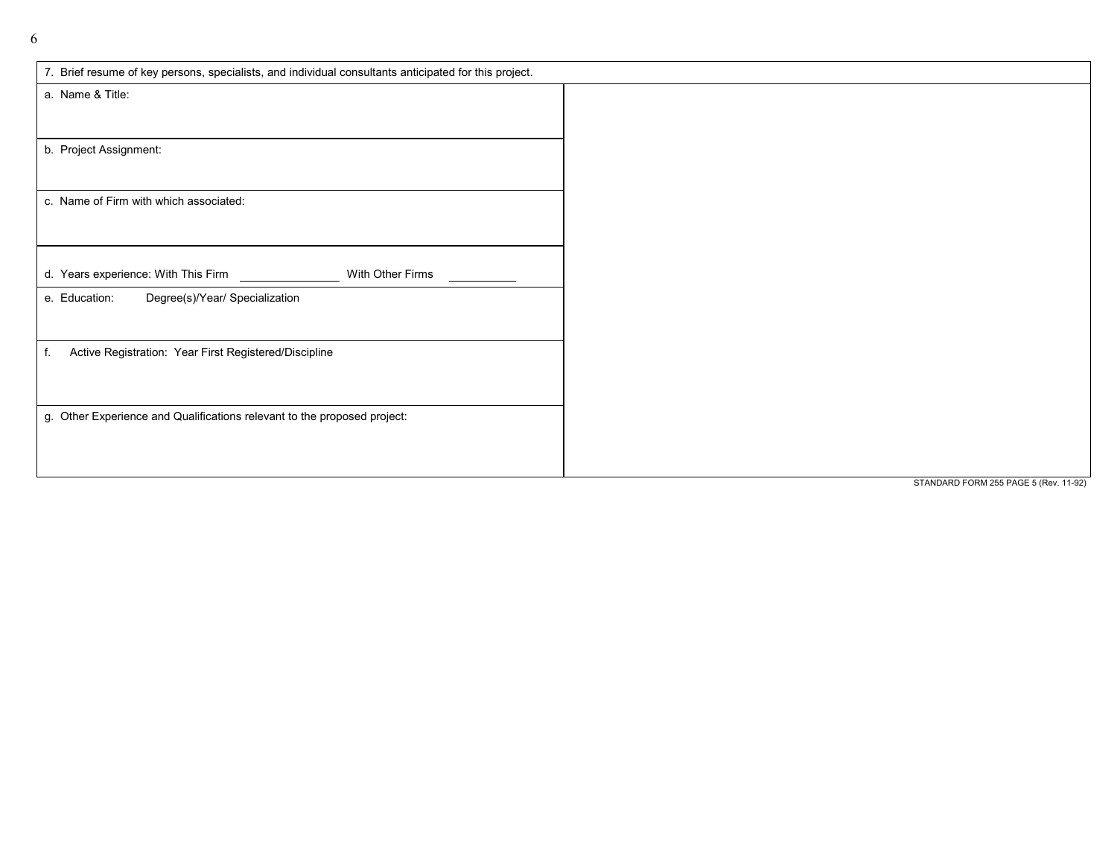| 7. Brief resume of key persons, specialists, and individual consultants anticipated for this project. |
|-------------------------------------------------------------------------------------------------------|
| a. Name & Title:                                                                                      |
|                                                                                                       |
| b. Project Assignment:                                                                                |
|                                                                                                       |
| c. Name of Firm with which associated:                                                                |
|                                                                                                       |
| d. Years experience: With This Firm<br>With Other Firms                                               |
| Degree(s)/Year/ Specialization<br>e. Education:                                                       |
|                                                                                                       |
| Active Registration: Year First Registered/Discipline<br>T.                                           |
|                                                                                                       |
| g. Other Experience and Qualifications relevant to the proposed project:                              |
|                                                                                                       |
|                                                                                                       |
|                                                                                                       |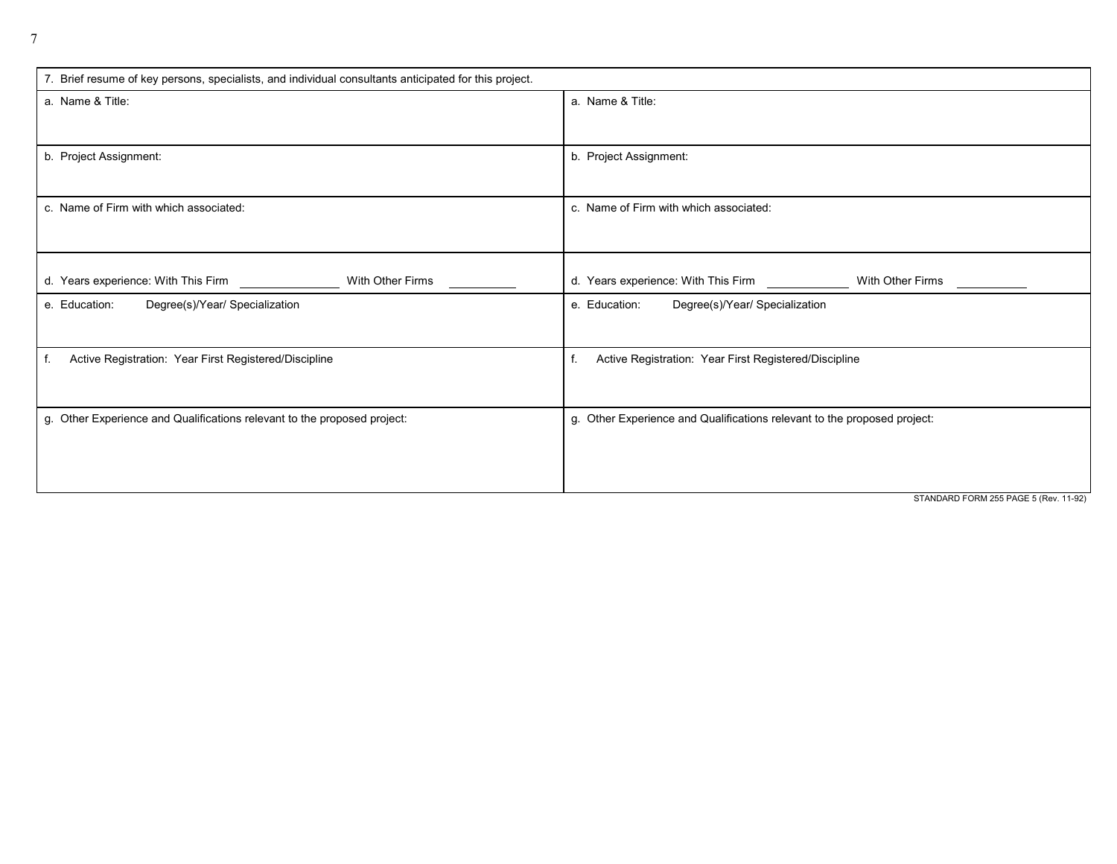| 7. Brief resume of key persons, specialists, and individual consultants anticipated for this project. |                                                                          |
|-------------------------------------------------------------------------------------------------------|--------------------------------------------------------------------------|
| a. Name & Title:                                                                                      | a. Name & Title:                                                         |
| b. Project Assignment:                                                                                | b. Project Assignment:                                                   |
| c. Name of Firm with which associated:                                                                | c. Name of Firm with which associated:                                   |
| d. Years experience: With This Firm<br>With Other Firms                                               | d. Years experience: With This Firm<br>With Other Firms                  |
| Degree(s)/Year/ Specialization<br>e. Education:                                                       | Degree(s)/Year/ Specialization<br>e. Education:                          |
| Active Registration: Year First Registered/Discipline<br>f.                                           | Active Registration: Year First Registered/Discipline<br>f.              |
| g. Other Experience and Qualifications relevant to the proposed project:                              | g. Other Experience and Qualifications relevant to the proposed project: |
|                                                                                                       | STANDARD FORM 255 PAGE 5 (Rev. 11-92)                                    |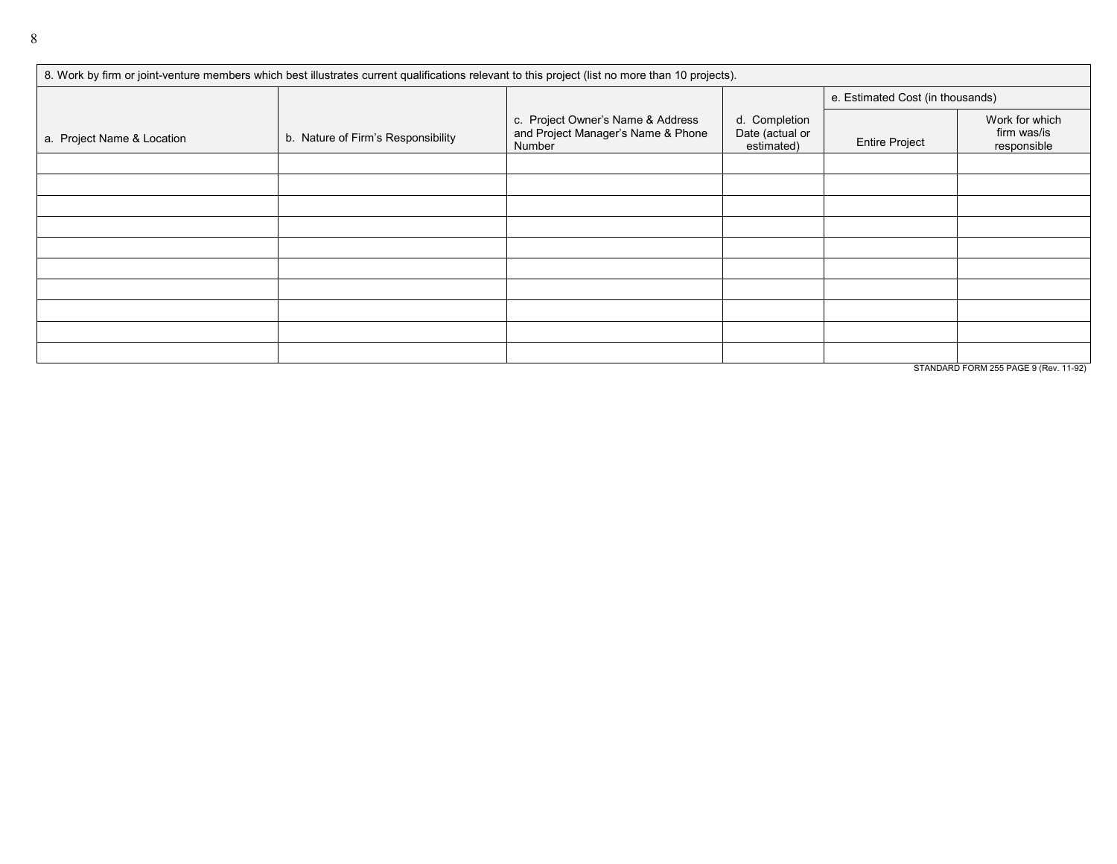| 8. Work by firm or joint-venture members which best illustrates current qualifications relevant to this project (list no more than 10 projects). |                                    |                                                                                   |                                                |                                  |                                              |  |  |
|--------------------------------------------------------------------------------------------------------------------------------------------------|------------------------------------|-----------------------------------------------------------------------------------|------------------------------------------------|----------------------------------|----------------------------------------------|--|--|
|                                                                                                                                                  |                                    |                                                                                   |                                                | e. Estimated Cost (in thousands) |                                              |  |  |
| a. Project Name & Location                                                                                                                       | b. Nature of Firm's Responsibility | c. Project Owner's Name & Address<br>and Project Manager's Name & Phone<br>Number | d. Completion<br>Date (actual or<br>estimated) | <b>Entire Project</b>            | Work for which<br>firm was/is<br>responsible |  |  |
|                                                                                                                                                  |                                    |                                                                                   |                                                |                                  |                                              |  |  |
|                                                                                                                                                  |                                    |                                                                                   |                                                |                                  |                                              |  |  |
|                                                                                                                                                  |                                    |                                                                                   |                                                |                                  |                                              |  |  |
|                                                                                                                                                  |                                    |                                                                                   |                                                |                                  |                                              |  |  |
|                                                                                                                                                  |                                    |                                                                                   |                                                |                                  |                                              |  |  |
|                                                                                                                                                  |                                    |                                                                                   |                                                |                                  |                                              |  |  |
|                                                                                                                                                  |                                    |                                                                                   |                                                |                                  |                                              |  |  |
|                                                                                                                                                  |                                    |                                                                                   |                                                |                                  |                                              |  |  |
|                                                                                                                                                  |                                    |                                                                                   |                                                |                                  |                                              |  |  |
|                                                                                                                                                  |                                    |                                                                                   |                                                |                                  |                                              |  |  |

STANDARD FORM 255 PAGE 9 (Rev. 11-92)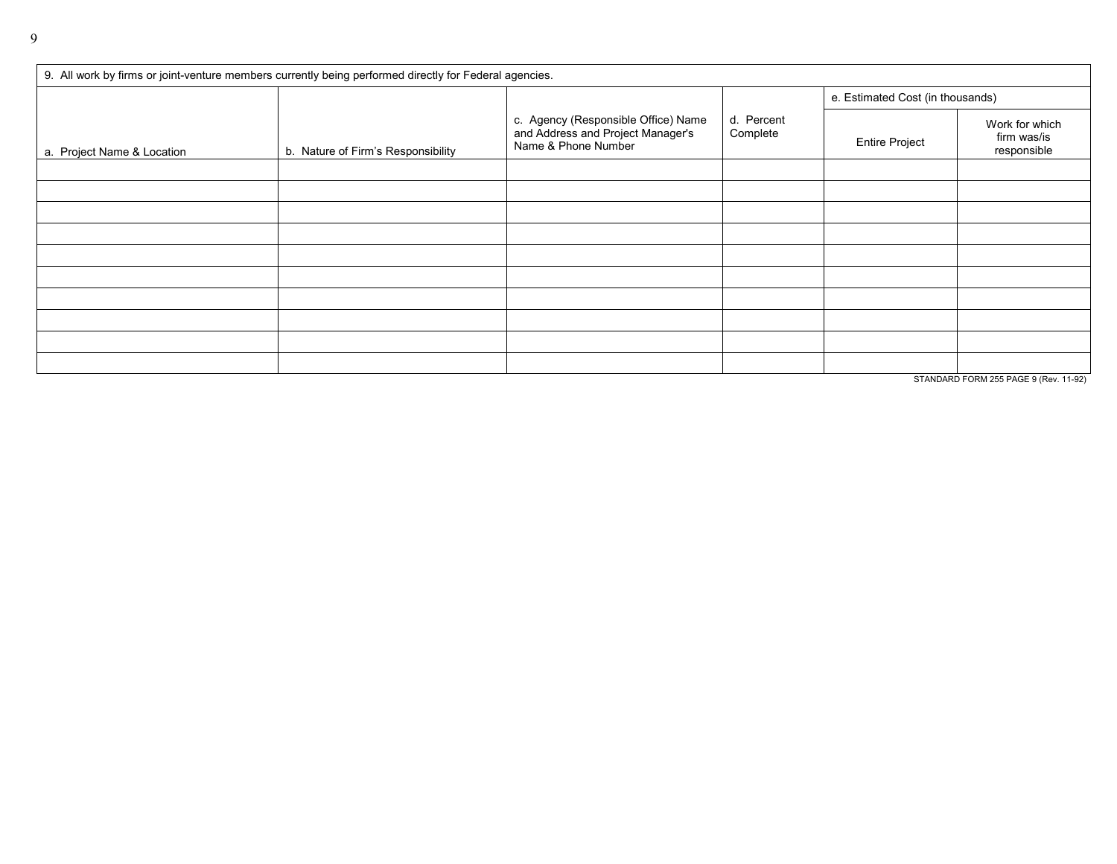| 9. All work by firms or joint-venture members currently being performed directly for Federal agencies. |                                    |                                                                                                 |                           |                                  |                                              |  |
|--------------------------------------------------------------------------------------------------------|------------------------------------|-------------------------------------------------------------------------------------------------|---------------------------|----------------------------------|----------------------------------------------|--|
|                                                                                                        |                                    |                                                                                                 |                           | e. Estimated Cost (in thousands) |                                              |  |
| a. Project Name & Location                                                                             | b. Nature of Firm's Responsibility | c. Agency (Responsible Office) Name<br>and Address and Project Manager's<br>Name & Phone Number | Percent<br>d.<br>Complete | <b>Entire Project</b>            | Work for which<br>firm was/is<br>responsible |  |
|                                                                                                        |                                    |                                                                                                 |                           |                                  |                                              |  |
|                                                                                                        |                                    |                                                                                                 |                           |                                  |                                              |  |
|                                                                                                        |                                    |                                                                                                 |                           |                                  |                                              |  |
|                                                                                                        |                                    |                                                                                                 |                           |                                  |                                              |  |
|                                                                                                        |                                    |                                                                                                 |                           |                                  |                                              |  |
|                                                                                                        |                                    |                                                                                                 |                           |                                  |                                              |  |
|                                                                                                        |                                    |                                                                                                 |                           |                                  |                                              |  |
|                                                                                                        |                                    |                                                                                                 |                           |                                  |                                              |  |
|                                                                                                        |                                    |                                                                                                 |                           |                                  |                                              |  |
|                                                                                                        |                                    |                                                                                                 |                           |                                  |                                              |  |

STANDARD FORM 255 PAGE 9 (Rev. 11-92)